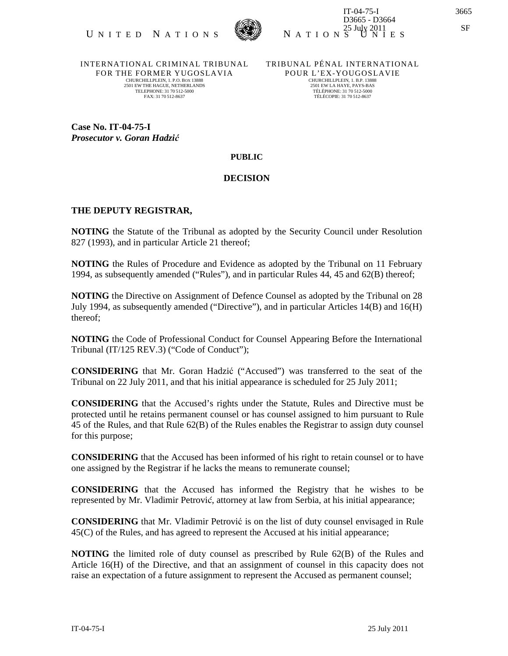

INTERNATIONAL CRIMINAL TRIBUNAL FOR THE FORMER YUGOSLAVIA CHURCHILLPLEIN, 1. P.O. BOX 13888 2501 EW THE HAGUE, NETHERLANDS TELEPHONE: 31 70 512-5000 FAX: 31 70 512-8637

TRIBUNAL PÉNAL INTERNATIONAL POUR L'EX-YOUGOSLAVIE CHURCHILLPLEIN, 1. B.P. 13888 2501 EW LA HAYE, PAYS-BAS TÉLÉPHONE: 31 70 512-5000 TÉLÉCOPIE: 31 70 512-8637

**Case No. IT-04-75-I**  *Prosecutor v. Goran Hadzi*ć

## **PUBLIC**

## **DECISION**

## **THE DEPUTY REGISTRAR,**

**NOTING** the Statute of the Tribunal as adopted by the Security Council under Resolution 827 (1993), and in particular Article 21 thereof;

**NOTING** the Rules of Procedure and Evidence as adopted by the Tribunal on 11 February 1994, as subsequently amended ("Rules"), and in particular Rules 44, 45 and 62(B) thereof;

**NOTING** the Directive on Assignment of Defence Counsel as adopted by the Tribunal on 28 July 1994, as subsequently amended ("Directive"), and in particular Articles 14(B) and 16(H) thereof;

**NOTING** the Code of Professional Conduct for Counsel Appearing Before the International Tribunal (IT/125 REV.3) ("Code of Conduct");

**CONSIDERING** that Mr. Goran Hadzić ("Accused") was transferred to the seat of the Tribunal on 22 July 2011, and that his initial appearance is scheduled for 25 July 2011;

**CONSIDERING** that the Accused's rights under the Statute, Rules and Directive must be protected until he retains permanent counsel or has counsel assigned to him pursuant to Rule 45 of the Rules, and that Rule 62(B) of the Rules enables the Registrar to assign duty counsel for this purpose;

**CONSIDERING** that the Accused has been informed of his right to retain counsel or to have one assigned by the Registrar if he lacks the means to remunerate counsel;

**CONSIDERING** that the Accused has informed the Registry that he wishes to be represented by Mr. Vladimir Petrović, attorney at law from Serbia, at his initial appearance;

**CONSIDERING** that Mr. Vladimir Petrović is on the list of duty counsel envisaged in Rule 45(C) of the Rules, and has agreed to represent the Accused at his initial appearance;

**NOTING** the limited role of duty counsel as prescribed by Rule 62(B) of the Rules and Article 16(H) of the Directive, and that an assignment of counsel in this capacity does not raise an expectation of a future assignment to represent the Accused as permanent counsel;